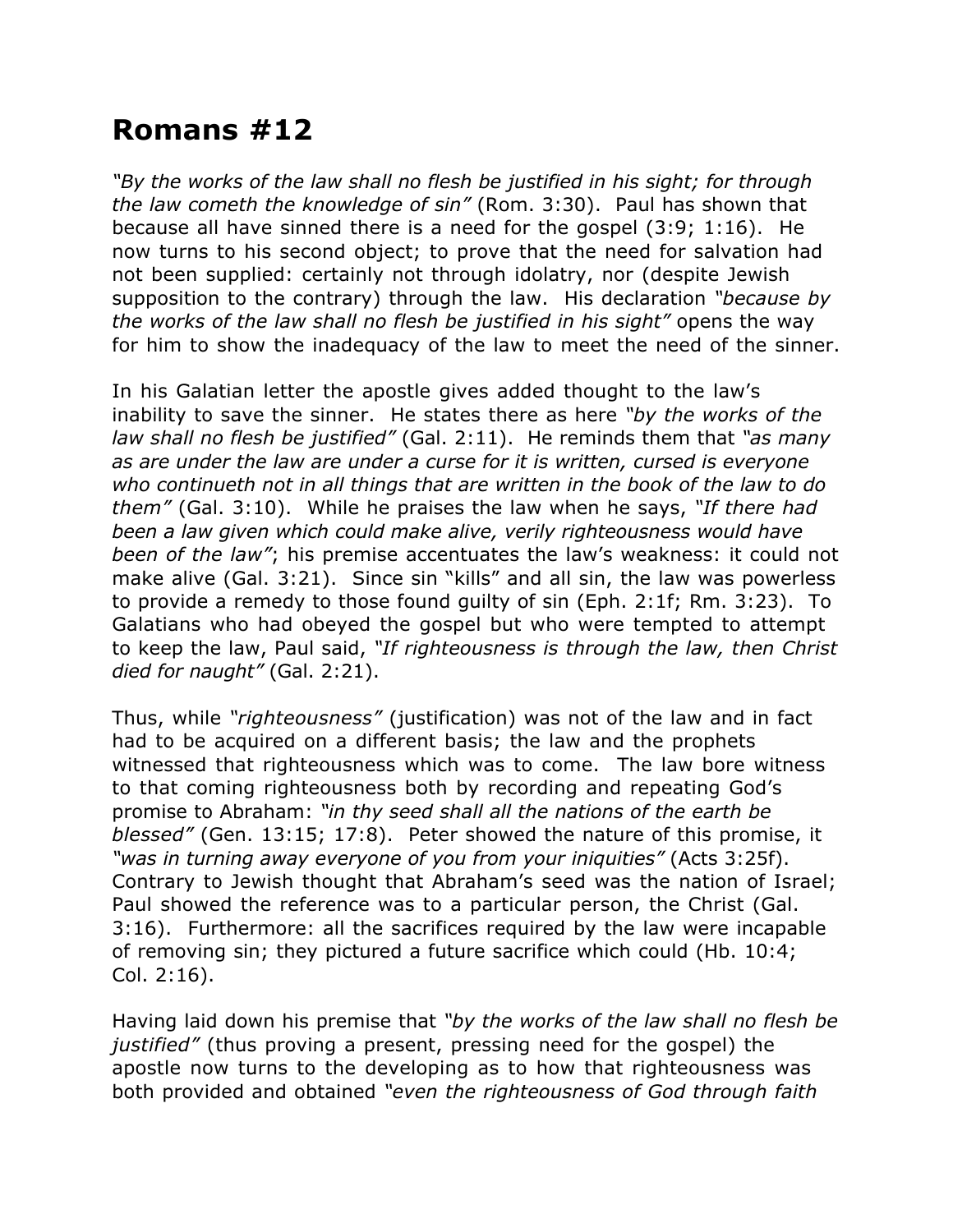## **Romans #12**

*"By the works of the law shall no flesh be justified in his sight; for through the law cometh the knowledge of sin"* (Rom. 3:30). Paul has shown that because all have sinned there is a need for the gospel (3:9; 1:16). He now turns to his second object; to prove that the need for salvation had not been supplied: certainly not through idolatry, nor (despite Jewish supposition to the contrary) through the law. His declaration *"because by the works of the law shall no flesh be justified in his sight"* opens the way for him to show the inadequacy of the law to meet the need of the sinner.

In his Galatian letter the apostle gives added thought to the law's inability to save the sinner. He states there as here *"by the works of the law shall no flesh be justified"* (Gal. 2:11). He reminds them that *"as many as are under the law are under a curse for it is written, cursed is everyone who continueth not in all things that are written in the book of the law to do them"* (Gal. 3:10). While he praises the law when he says, *"If there had been a law given which could make alive, verily righteousness would have been of the law"*; his premise accentuates the law's weakness: it could not make alive (Gal. 3:21). Since sin "kills" and all sin, the law was powerless to provide a remedy to those found guilty of sin (Eph. 2:1f; Rm. 3:23). To Galatians who had obeyed the gospel but who were tempted to attempt to keep the law, Paul said, *"If righteousness is through the law, then Christ died for naught"* (Gal. 2:21).

Thus, while *"righteousness"* (justification) was not of the law and in fact had to be acquired on a different basis; the law and the prophets witnessed that righteousness which was to come. The law bore witness to that coming righteousness both by recording and repeating God's promise to Abraham: *"in thy seed shall all the nations of the earth be blessed"* (Gen. 13:15; 17:8). Peter showed the nature of this promise, it *"was in turning away everyone of you from your iniquities"* (Acts 3:25f). Contrary to Jewish thought that Abraham's seed was the nation of Israel; Paul showed the reference was to a particular person, the Christ (Gal. 3:16). Furthermore: all the sacrifices required by the law were incapable of removing sin; they pictured a future sacrifice which could (Hb. 10:4; Col. 2:16).

Having laid down his premise that *"by the works of the law shall no flesh be justified"* (thus proving a present, pressing need for the gospel) the apostle now turns to the developing as to how that righteousness was both provided and obtained *"even the righteousness of God through faith*